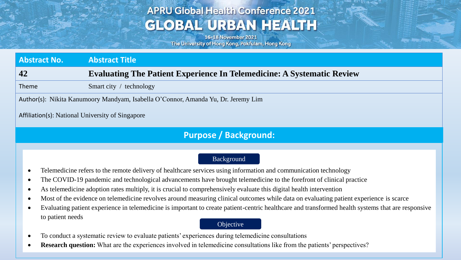## **APRU Global Health Conference 2021 GLOBAL URBAN HEALTH**

16-18 November 2021 The University of Hong Kong, Pokfulam, Hong Kong

| <b>Abstract No.</b>                                                               | <b>Abstract Title</b>                                                         |  |  |  |  |
|-----------------------------------------------------------------------------------|-------------------------------------------------------------------------------|--|--|--|--|
| 42                                                                                | <b>Evaluating The Patient Experience In Telemedicine: A Systematic Review</b> |  |  |  |  |
| <b>Theme</b>                                                                      | Smart city / technology                                                       |  |  |  |  |
| Author(s): Nikita Kanumoory Mandyam, Isabella O'Connor, Amanda Yu, Dr. Jeremy Lim |                                                                               |  |  |  |  |

### Affiliation(s): National University of Singapore

### **Purpose / Background:**

### **Background**

- Telemedicine refers to the remote delivery of healthcare services using information and communication technology
- The COVID-19 pandemic and technological advancements have brought telemedicine to the forefront of clinical practice
- As telemedicine adoption rates multiply, it is crucial to comprehensively evaluate this digital health intervention
- Most of the evidence on telemedicine revolves around measuring clinical outcomes while data on evaluating patient experience is scarce
- Evaluating patient experience in telemedicine is important to create patient-centric healthcare and transformed health systems that are responsive to patient needs

### **Objective**

- To conduct a systematic review to evaluate patients' experiences during telemedicine consultations
- **Research question:** What are the experiences involved in telemedicine consultations like from the patients' perspectives?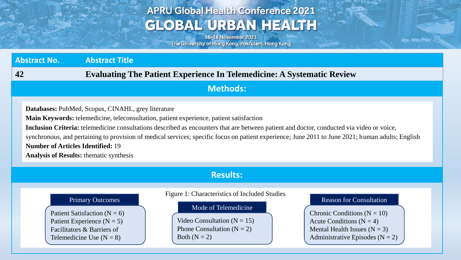### **APRU Global Health Conference 2021 GLOBAL URBAN HEALTH**

16-18 November 2021 The University of Hong Kong, Pokfulam, Hong Kong

**Abstract No. Abstract Title 42 Evaluating The Patient Experience In Telemedicine: A Systematic Review Methods: Databases:** PubMed, Scopus, CINAHL, grey literature **Main Keywords:** telemedicine, teleconsultation, patient experience, patient satisfaction Inclusion Criteria: telemedicine consultations described as encounters that are between patient and doctor, conducted via video or voice, synchronous, and pertaining to provision of medical services; specific focus on patient experience; June 2011 to June 2021; human adults; English **Number of Articles Identified:** 19 **Analysis of Results:** thematic synthesis

#### Figure 1: Characteristics of Included Studies Patient Satisfaction ( $N = 6$ ) Patient Experience ( $N = 5$ ) Facilitators & Barriers of Telemedicine Use  $(N = 8)$ Primary Outcomes Video Consultation ( $N = 15$ ) Phone Consultation  $(N = 2)$ Both  $(N = 2)$ Mode of Telemedicine Chronic Conditions  $(N = 10)$ Acute Conditions ( $N = 4$ ) Mental Health Issues ( $N = 3$ ) Administrative Episodes ( $N = 2$ ) Reason for Consultation **Results:**